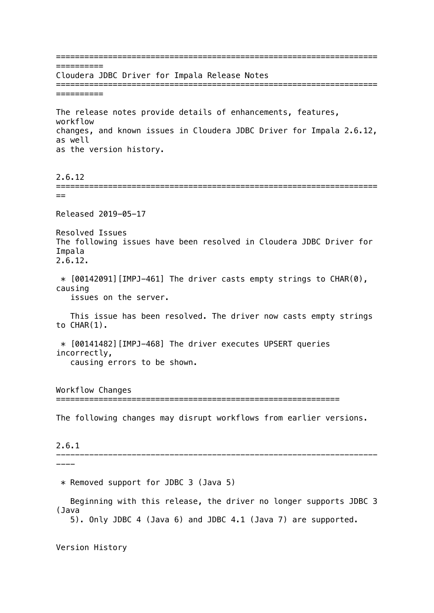==================================================================== ========== Cloudera JDBC Driver for Impala Release Notes ==================================================================== ========== The release notes provide details of enhancements, features, workflow changes, and known issues in Cloudera JDBC Driver for Impala 2.6.12, as well as the version history. 2.6.12 ====================================================================  $=$ Released 2019-05-17 Resolved Issues The following issues have been resolved in Cloudera JDBC Driver for Impala 2.6.12.  $*$  [00142091] [IMPJ-461] The driver casts empty strings to CHAR(0), causing issues on the server. This issue has been resolved. The driver now casts empty strings to CHAR(1). \* [00141482][IMPJ-468] The driver executes UPSERT queries incorrectly, causing errors to be shown. Workflow Changes ============================================================ The following changes may disrupt workflows from earlier versions. 2.6.1 -------------------------------------------------------------------- ---- \* Removed support for JDBC 3 (Java 5) Beginning with this release, the driver no longer supports JDBC 3 (Java 5). Only JDBC 4 (Java 6) and JDBC 4.1 (Java 7) are supported. Version History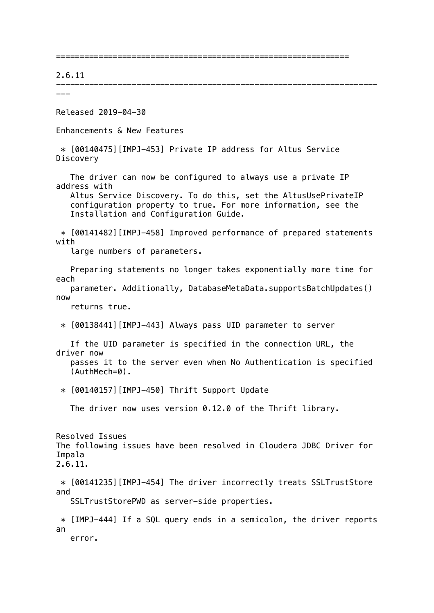==============================================================

--------------------------------------------------------------------

## 2.6.11

---

Released 2019-04-30

Enhancements & New Features

 \* [00140475][IMPJ-453] Private IP address for Altus Service Discovery

 The driver can now be configured to always use a private IP address with

 Altus Service Discovery. To do this, set the AltusUsePrivateIP configuration property to true. For more information, see the Installation and Configuration Guide.

 \* [00141482][IMPJ-458] Improved performance of prepared statements with

large numbers of parameters.

 Preparing statements no longer takes exponentially more time for each

 parameter. Additionally, DatabaseMetaData.supportsBatchUpdates() now

returns true.

\* [00138441][IMPJ-443] Always pass UID parameter to server

 If the UID parameter is specified in the connection URL, the driver now

 passes it to the server even when No Authentication is specified (AuthMech=0).

\* [00140157][IMPJ-450] Thrift Support Update

The driver now uses version 0.12.0 of the Thrift library.

Resolved Issues The following issues have been resolved in Cloudera JDBC Driver for Impala 2.6.11.

 \* [00141235][IMPJ-454] The driver incorrectly treats SSLTrustStore and

SSLTrustStorePWD as server-side properties.

 \* [IMPJ-444] If a SQL query ends in a semicolon, the driver reports an error.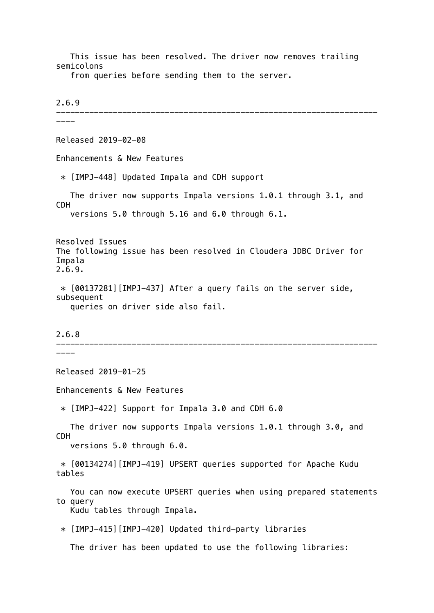This issue has been resolved. The driver now removes trailing semicolons

from queries before sending them to the server.

2.6.9 -------------------------------------------------------------------- ---- Released 2019-02-08 Enhancements & New Features \* [IMPJ-448] Updated Impala and CDH support The driver now supports Impala versions 1.0.1 through 3.1, and CDH versions 5.0 through 5.16 and 6.0 through 6.1. Resolved Issues The following issue has been resolved in Cloudera JDBC Driver for Impala 2.6.9. \* [00137281][IMPJ-437] After a query fails on the server side, subsequent queries on driver side also fail. 2.6.8 -------------------------------------------------------------------- ----

Released 2019-01-25

Enhancements & New Features

 $*$  [IMPJ-422] Support for Impala 3.0 and CDH 6.0

 The driver now supports Impala versions 1.0.1 through 3.0, and CDH versions 5.0 through 6.0.

 \* [00134274][IMPJ-419] UPSERT queries supported for Apache Kudu tables

 You can now execute UPSERT queries when using prepared statements to query Kudu tables through Impala.

\* [IMPJ-415][IMPJ-420] Updated third-party libraries

The driver has been updated to use the following libraries: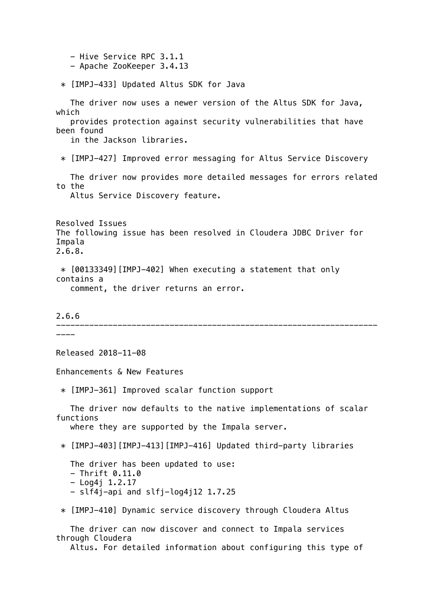- Hive Service RPC 3.1.1 - Apache ZooKeeper 3.4.13 \* [IMPJ-433] Updated Altus SDK for Java The driver now uses a newer version of the Altus SDK for Java, which provides protection against security vulnerabilities that have been found in the Jackson libraries. \* [IMPJ-427] Improved error messaging for Altus Service Discovery The driver now provides more detailed messages for errors related to the Altus Service Discovery feature. Resolved Issues The following issue has been resolved in Cloudera JDBC Driver for Impala 2.6.8. \* [00133349][IMPJ-402] When executing a statement that only contains a comment, the driver returns an error. 2.6.6 -------------------------------------------------------------------- ---- Released 2018-11-08 Enhancements & New Features \* [IMPJ-361] Improved scalar function support The driver now defaults to the native implementations of scalar functions where they are supported by the Impala server. \* [IMPJ-403][IMPJ-413][IMPJ-416] Updated third-party libraries The driver has been updated to use:  $-$  Thrift  $0.11.0$  $-$  Log4i 1.2.17 - slf4j-api and slfj-log4j12 1.7.25 \* [IMPJ-410] Dynamic service discovery through Cloudera Altus The driver can now discover and connect to Impala services through Cloudera

Altus. For detailed information about configuring this type of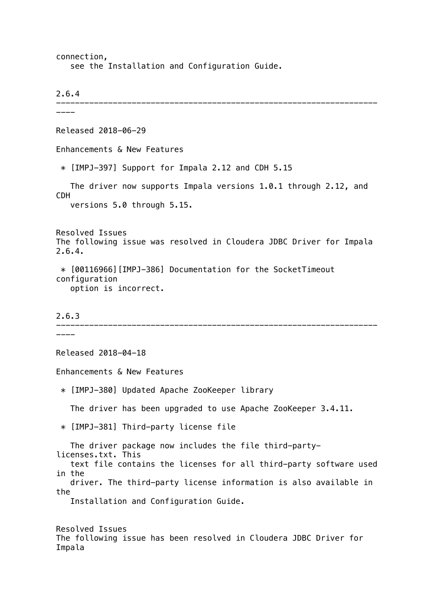connection, see the Installation and Configuration Guide.

2.6.4

-------------------------------------------------------------------- ---- Released 2018-06-29 Enhancements & New Features \* [IMPJ-397] Support for Impala 2.12 and CDH 5.15 The driver now supports Impala versions 1.0.1 through 2.12, and CDH versions 5.0 through 5.15. Resolved Issues The following issue was resolved in Cloudera JDBC Driver for Impala 2.6.4. \* [00116966][IMPJ-386] Documentation for the SocketTimeout configuration option is incorrect. 2.6.3 -------------------------------------------------------------------- ---- Released 2018-04-18 Enhancements & New Features \* [IMPJ-380] Updated Apache ZooKeeper library The driver has been upgraded to use Apache ZooKeeper 3.4.11. \* [IMPJ-381] Third-party license file The driver package now includes the file third-partylicenses.txt. This text file contains the licenses for all third-party software used in the driver. The third-party license information is also available in the Installation and Configuration Guide. Resolved Issues The following issue has been resolved in Cloudera JDBC Driver for Impala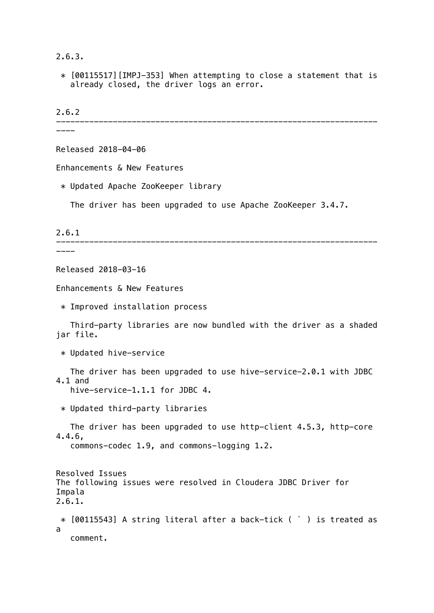2.6.3.

 \* [00115517][IMPJ-353] When attempting to close a statement that is already closed, the driver logs an error.

2.6.2

--------------------------------------------------------------------

----

Released 2018-04-06

Enhancements & New Features

\* Updated Apache ZooKeeper library

The driver has been upgraded to use Apache ZooKeeper 3.4.7.

2.6.1

-------------------------------------------------------------------- ----

Released 2018-03-16

Enhancements & New Features

\* Improved installation process

 Third-party libraries are now bundled with the driver as a shaded jar file.

\* Updated hive-service

 The driver has been upgraded to use hive-service-2.0.1 with JDBC 4.1 and

hive-service-1.1.1 for JDBC 4.

\* Updated third-party libraries

 The driver has been upgraded to use http-client 4.5.3, http-core 4.4.6,

commons-codec 1.9, and commons-logging 1.2.

Resolved Issues The following issues were resolved in Cloudera JDBC Driver for Impala 2.6.1. \* [00115543] A string literal after a back-tick ( ` ) is treated as a comment.